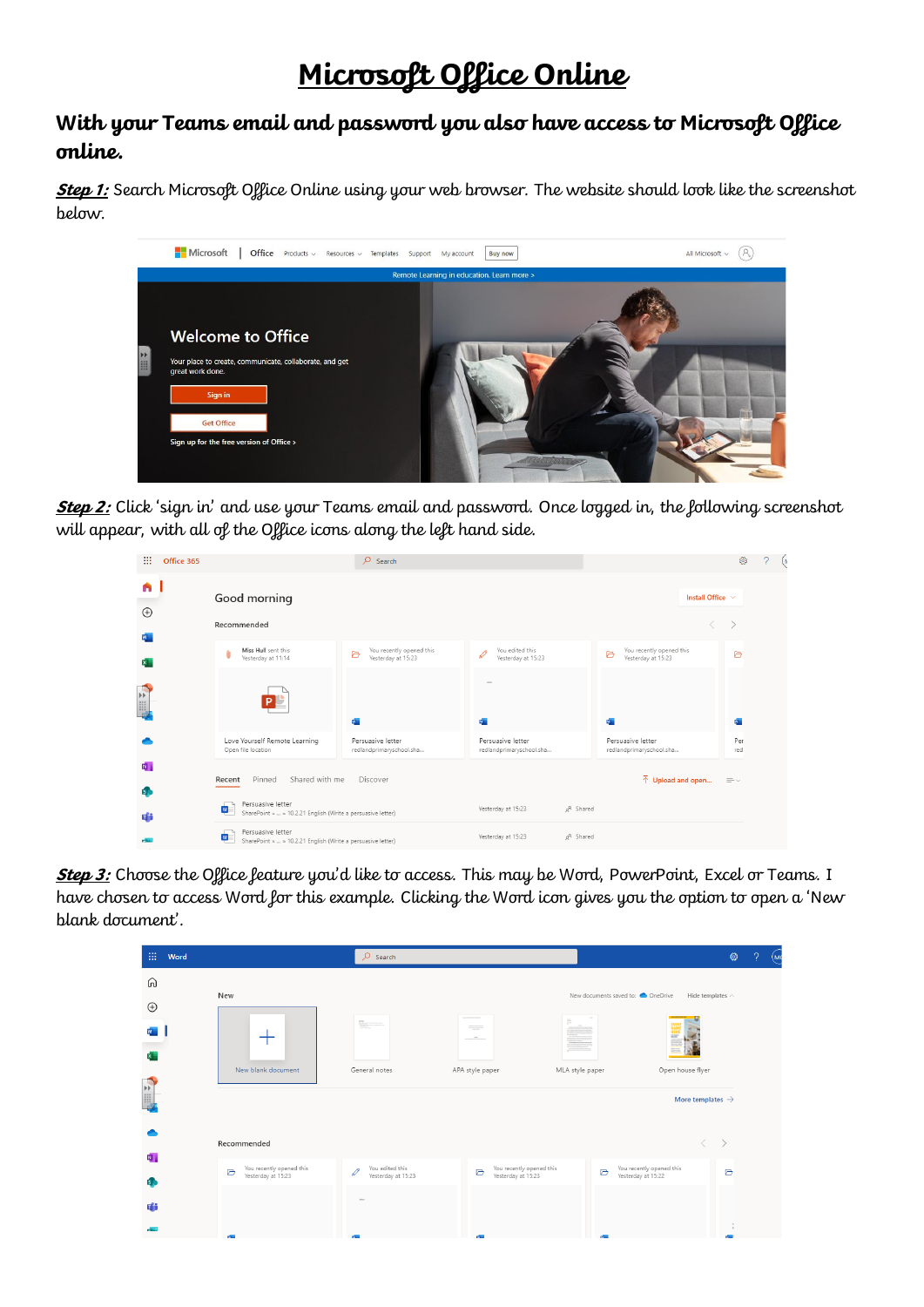## **Microsoft Office Online**

## **With your Teams email and password you also have access to Microsoft Office online.**

**Step 1:** Search Microsoft Office Online using your web browser. The website should look like the screenshot below.



**Step 2:** Click 'sign in' and use your Teams email and password. Once logged in, the following screenshot will appear, with all of the Office icons along the left hand side.

| m<br>Office 365                 |                                                                                       | $\circ$<br>Search                                   |                                               |                       |                                                     | ့               | ?<br>$\left( \mathbf{r} \right)$ |
|---------------------------------|---------------------------------------------------------------------------------------|-----------------------------------------------------|-----------------------------------------------|-----------------------|-----------------------------------------------------|-----------------|----------------------------------|
| A                               | Good morning                                                                          |                                                     |                                               |                       | Install Office V                                    |                 |                                  |
| $\bigoplus$                     | Recommended                                                                           |                                                     |                                               |                       |                                                     |                 |                                  |
| $\mathbf{x}$                    | Miss Hull sent this<br>0<br>Yesterday at 11:14                                        | You recently opened this<br>D<br>Yesterday at 15:23 | You edited this<br>I<br>Yesterday at 15:23    |                       | You recently opened this<br>B<br>Yesterday at 15:23 | D               |                                  |
| $\mathbf{F}$<br>出品              |                                                                                       | W.                                                  | ದಿ=                                           |                       | W.                                                  | $\mathbf{a}$    |                                  |
|                                 | Love Yourself Remote Learning<br>Open file location                                   | Persuasive letter<br>redlandprimaryschool.sha       | Persuasive letter<br>redlandprimaryschool.sha |                       | Persuasive letter<br>redlandprimaryschool.sha       | Per<br>red      |                                  |
| Ń.<br>$\overline{\mathsf{s}}$ , | Shared with me<br>Pinned<br>Recent                                                    | Discover                                            |                                               |                       | $\bar{\uparrow}$ Upload and open                    | $\equiv$ $\sim$ |                                  |
| di                              | Persuasive letter<br>W<br>SharePoint »  » 10.2.21 English (Write a persuasive letter) |                                                     | Yesterday at 15:23                            | g <sup>R</sup> Shared |                                                     |                 |                                  |
|                                 | Persuasive letter<br>W<br>SharePoint »  » 10.2.21 English (Write a persuasive letter) |                                                     | Yesterday at 15:23                            | g <sup>R</sup> Shared |                                                     |                 |                                  |

**Step 3:** Choose the Office feature you'd like to access. This may be Word, PowerPoint, Excel or Teams. I have chosen to access Word for this example. Clicking the Word icon gives you the option to open a 'New blank document'.

| 曲<br>Word        |                                                                    | $O$ Search                                                                                                                                                                                                                                                                                                                                                                                                                                                                                                                                                                                             |                                                     |                                                             | ශ<br>(MC<br>$\mathcal{P}$ |
|------------------|--------------------------------------------------------------------|--------------------------------------------------------------------------------------------------------------------------------------------------------------------------------------------------------------------------------------------------------------------------------------------------------------------------------------------------------------------------------------------------------------------------------------------------------------------------------------------------------------------------------------------------------------------------------------------------------|-----------------------------------------------------|-------------------------------------------------------------|---------------------------|
| ⋒<br>$\bigoplus$ | New                                                                |                                                                                                                                                                                                                                                                                                                                                                                                                                                                                                                                                                                                        |                                                     | New documents saved to: OneDrive<br>Hide templates $\wedge$ |                           |
| x.               | $+$                                                                | $\begin{array}{l} \displaystyle \frac{\partial^2 \mathbf{b}}{\partial x^2 \partial x \partial y} = 0 \, \, \text{where} \, \, \\ \displaystyle \frac{\partial^2 \partial x}{\partial x \partial y} = 0 \, \, \text{where} \, \, \\ \displaystyle \frac{\partial^2 \partial x}{\partial y^2 \partial x \partial y} = 0 \, \, \text{where} \, \, \\ \displaystyle \frac{\partial^2 \partial x}{\partial y^2 \partial x \partial y} = 0 \, \, \text{where} \, \, \\ \displaystyle \frac{\partial^2 \partial x}{\partial y^2 \partial x \partial y} = 0 \, \, \text{where} \, \, \\ \displaystyle \frac{\$ | $\frac{1}{\sqrt{2}}$<br><b>CONTRACTOR</b>           | <b>HERE</b>                                                 |                           |
| 三                | New blank document                                                 | General notes                                                                                                                                                                                                                                                                                                                                                                                                                                                                                                                                                                                          | APA style paper<br>MLA style paper                  | Open house flyer<br>More templates $\rightarrow$            |                           |
|                  | Recommended                                                        |                                                                                                                                                                                                                                                                                                                                                                                                                                                                                                                                                                                                        |                                                     | $\left\langle \quad\right\rangle$                           | $\rightarrow$             |
| 内。<br>is.        | You recently opened this<br>$\triangleright$<br>Yesterday at 15:23 | You edited this<br>$\mathscr{O}$<br>Yesterday at 15:23                                                                                                                                                                                                                                                                                                                                                                                                                                                                                                                                                 | You recently opened this<br>D<br>Yesterday at 15:23 | You recently opened this<br>D<br>Yesterday at 15:22         | D                         |
| 輔                |                                                                    | <b>STO</b>                                                                                                                                                                                                                                                                                                                                                                                                                                                                                                                                                                                             |                                                     |                                                             |                           |
| <b>POLICE</b>    |                                                                    |                                                                                                                                                                                                                                                                                                                                                                                                                                                                                                                                                                                                        |                                                     |                                                             | $\tilde{\phantom{a}}$     |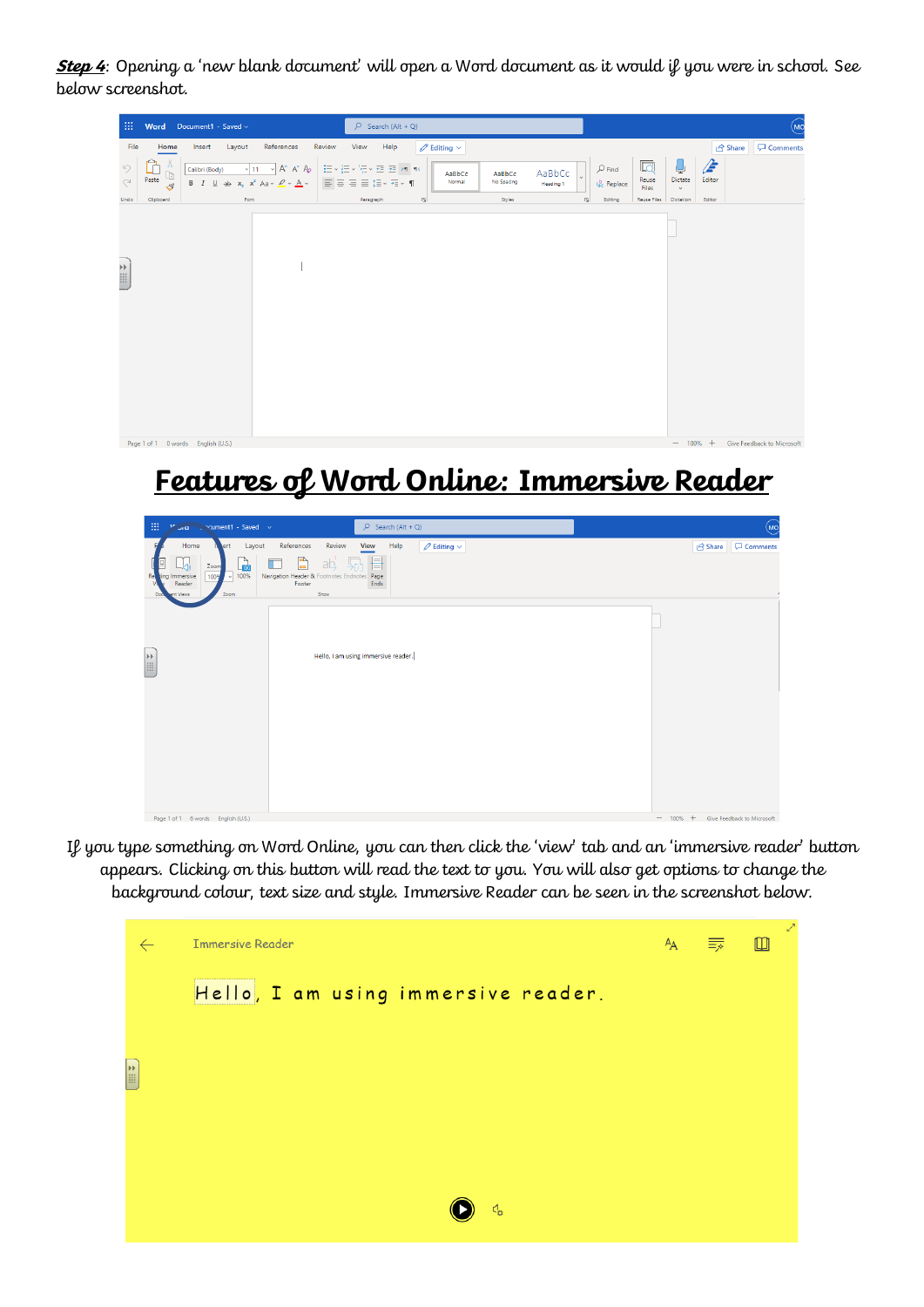**Step 4**: Opening a 'new blank document' will open a Word document as it would if you were in school. See below screenshot.

| Review<br>File<br>References<br>View<br>Help<br>$\mathscr{D}$ Editing $\vee$<br>Home<br>Layout<br><b>Share</b><br>Insert<br>E<br>圆<br>ىل<br>- PP<br>r<br>り<br>$\varphi$ Find<br>$\vee$ 11 $\vee$ A A $\wedge$<br>Calibri (Body)<br>$\begin{array}{c} \square \\ \square \end{array}$<br>AaBbCc<br>AaBbCc<br>AaBbCc<br>Paste<br>Dictate<br>Editor<br>Reuse<br>$\subset$<br>国言君国語・細・¶<br><b>B</b> $I \perp A \Rightarrow x_2 \times^2 A \Rightarrow A \times A \times A$<br>Normal<br>No Spacing<br>$\zeta_c^b$ Replace<br><b>Heading 1</b><br>$\mathcal{S}$<br>Files<br>$\mathbf{v}$<br>$\overline{\mathbb{N}}$<br>Styles<br>Font<br>Paragraph<br>Editing<br>Reuse Files<br>Editor<br>Undo<br>Clipboard<br>$\sqrt{2}$<br>Dictation<br>$\left( \frac{1}{2} \right)$ |          |
|-------------------------------------------------------------------------------------------------------------------------------------------------------------------------------------------------------------------------------------------------------------------------------------------------------------------------------------------------------------------------------------------------------------------------------------------------------------------------------------------------------------------------------------------------------------------------------------------------------------------------------------------------------------------------------------------------------------------------------------------------------------------|----------|
|                                                                                                                                                                                                                                                                                                                                                                                                                                                                                                                                                                                                                                                                                                                                                                   | Comments |
|                                                                                                                                                                                                                                                                                                                                                                                                                                                                                                                                                                                                                                                                                                                                                                   |          |
|                                                                                                                                                                                                                                                                                                                                                                                                                                                                                                                                                                                                                                                                                                                                                                   |          |
| - 100% + Give Feedback to Microsoft<br>Page 1 of 1 0 words English (U.S.)                                                                                                                                                                                                                                                                                                                                                                                                                                                                                                                                                                                                                                                                                         |          |

## **Features of Word Online: Immersive Reader**

| 扭<br>$\degree$ cument1 - Saved $\lor$<br>$V_{\rm{out}}$                                                                                                                                                                                                                                                                                                                                                                                                                                                                   | $O$ Search (Alt + Q)                                                                                                             |                              | $\circledR$                         |
|---------------------------------------------------------------------------------------------------------------------------------------------------------------------------------------------------------------------------------------------------------------------------------------------------------------------------------------------------------------------------------------------------------------------------------------------------------------------------------------------------------------------------|----------------------------------------------------------------------------------------------------------------------------------|------------------------------|-------------------------------------|
| Home<br>Layout<br>ert<br>$\frac{1}{100}$<br>Zoom<br>$\sqrt{100\%}$<br><b>Re</b><br>Immersive<br>100%<br>ling<br>Reader<br>Zoom<br><b>Doc</b><br>ent Views                                                                                                                                                                                                                                                                                                                                                                 | References<br>Review<br>Help<br>View<br>È<br>ab<br>П<br>Navigation Header & Footnotes Endnotes<br>Page<br>Ends<br>Footer<br>Show | $\mathscr{D}$ Editing $\vee$ | <b>ீ</b> Share<br>Comments          |
| $\begin{tabular}{ c c } \hline \hline \mbox{\scriptsize{31}} & \mbox{\scriptsize{12}} \\ \hline \mbox{\scriptsize{13}} & \mbox{\scriptsize{14}} \\ \hline \mbox{\scriptsize{14}} & \mbox{\scriptsize{15}} \\ \hline \mbox{\scriptsize{16}} & \mbox{\scriptsize{16}} \\ \hline \mbox{\scriptsize{17}} & \mbox{\scriptsize{16}} \\ \hline \mbox{\scriptsize{18}} & \mbox{\scriptsize{16}} \\ \hline \mbox{\scriptsize{19}} & \mbox{\scriptsize{16}} \\ \hline \mbox{\scriptsize{19}} & \mbox{\scriptsize{16}} \\ \hline \m$ | Hello, I am using immersive reader.                                                                                              |                              |                                     |
| Page 1 of 1 6 words Foolish (US)                                                                                                                                                                                                                                                                                                                                                                                                                                                                                          |                                                                                                                                  |                              | - 100% + Give Feedback to Microsoft |

If you type something on Word Online, you can then click the 'view' tab and an 'immersive reader' button appears. Clicking on this button will read the text to you. You will also get options to change the background colour, text size and style. Immersive Reader can be seen in the screenshot below.